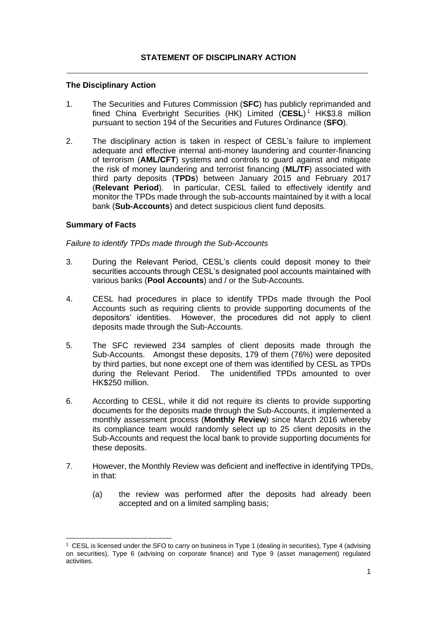### **The Disciplinary Action**

- 1. The Securities and Futures Commission (**SFC**) has publicly reprimanded and fined China Everbright Securities (HK) Limited (**CESL**) <sup>1</sup> HK\$3.8 million pursuant to section 194 of the Securities and Futures Ordinance (**SFO**).
- 2. The disciplinary action is taken in respect of CESL's failure to implement adequate and effective internal anti-money laundering and counter-financing of terrorism (**AML/CFT**) systems and controls to guard against and mitigate the risk of money laundering and terrorist financing (**ML/TF**) associated with third party deposits (**TPDs**) between January 2015 and February 2017 (**Relevant Period**). In particular, CESL failed to effectively identify and monitor the TPDs made through the sub-accounts maintained by it with a local bank (**Sub-Accounts**) and detect suspicious client fund deposits.

## **Summary of Facts**

## *Failure to identify TPDs made through the Sub-Accounts*

- 3. During the Relevant Period, CESL's clients could deposit money to their securities accounts through CESL's designated pool accounts maintained with various banks (**Pool Accounts**) and / or the Sub-Accounts.
- 4. CESL had procedures in place to identify TPDs made through the Pool Accounts such as requiring clients to provide supporting documents of the depositors' identities. However, the procedures did not apply to client deposits made through the Sub-Accounts.
- 5. The SFC reviewed 234 samples of client deposits made through the Sub-Accounts. Amongst these deposits, 179 of them (76%) were deposited by third parties, but none except one of them was identified by CESL as TPDs during the Relevant Period. The unidentified TPDs amounted to over HK\$250 million.
- 6. According to CESL, while it did not require its clients to provide supporting documents for the deposits made through the Sub-Accounts, it implemented a monthly assessment process (**Monthly Review**) since March 2016 whereby its compliance team would randomly select up to 25 client deposits in the Sub-Accounts and request the local bank to provide supporting documents for these deposits.
- 7. However, the Monthly Review was deficient and ineffective in identifying TPDs, in that:
	- (a) the review was performed after the deposits had already been accepted and on a limited sampling basis;

<sup>1</sup> CESL is licensed under the SFO to carry on business in Type 1 (dealing in securities), Type 4 (advising on securities), Type 6 (advising on corporate finance) and Type 9 (asset management) regulated activities.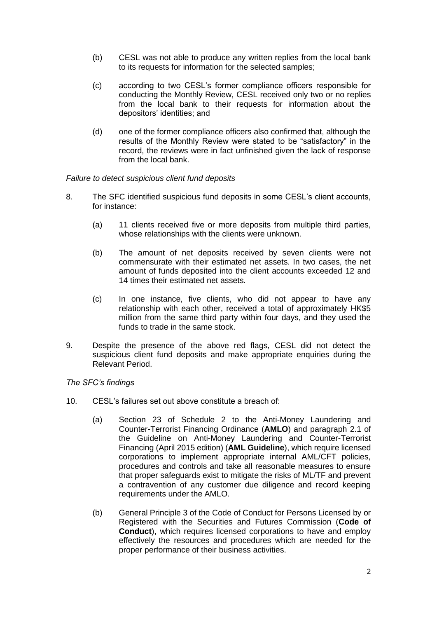- (b) CESL was not able to produce any written replies from the local bank to its requests for information for the selected samples;
- (c) according to two CESL's former compliance officers responsible for conducting the Monthly Review, CESL received only two or no replies from the local bank to their requests for information about the depositors' identities; and
- (d) one of the former compliance officers also confirmed that, although the results of the Monthly Review were stated to be "satisfactory" in the record, the reviews were in fact unfinished given the lack of response from the local bank.

#### *Failure to detect suspicious client fund deposits*

- 8. The SFC identified suspicious fund deposits in some CESL's client accounts, for instance:
	- (a) 11 clients received five or more deposits from multiple third parties, whose relationships with the clients were unknown.
	- (b) The amount of net deposits received by seven clients were not commensurate with their estimated net assets. In two cases, the net amount of funds deposited into the client accounts exceeded 12 and 14 times their estimated net assets.
	- (c) In one instance, five clients, who did not appear to have any relationship with each other, received a total of approximately HK\$5 million from the same third party within four days, and they used the funds to trade in the same stock.
- 9. Despite the presence of the above red flags, CESL did not detect the suspicious client fund deposits and make appropriate enquiries during the Relevant Period.

# *The SFC's findings*

- 10. CESL's failures set out above constitute a breach of:
	- (a) Section 23 of Schedule 2 to the Anti-Money Laundering and Counter-Terrorist Financing Ordinance (**AMLO**) and paragraph 2.1 of the Guideline on Anti-Money Laundering and Counter-Terrorist Financing (April 2015 edition) (**AML Guideline**), which require licensed corporations to implement appropriate internal AML/CFT policies, procedures and controls and take all reasonable measures to ensure that proper safeguards exist to mitigate the risks of ML/TF and prevent a contravention of any customer due diligence and record keeping requirements under the AMLO.
	- (b) General Principle 3 of the Code of Conduct for Persons Licensed by or Registered with the Securities and Futures Commission (**Code of Conduct**), which requires licensed corporations to have and employ effectively the resources and procedures which are needed for the proper performance of their business activities.